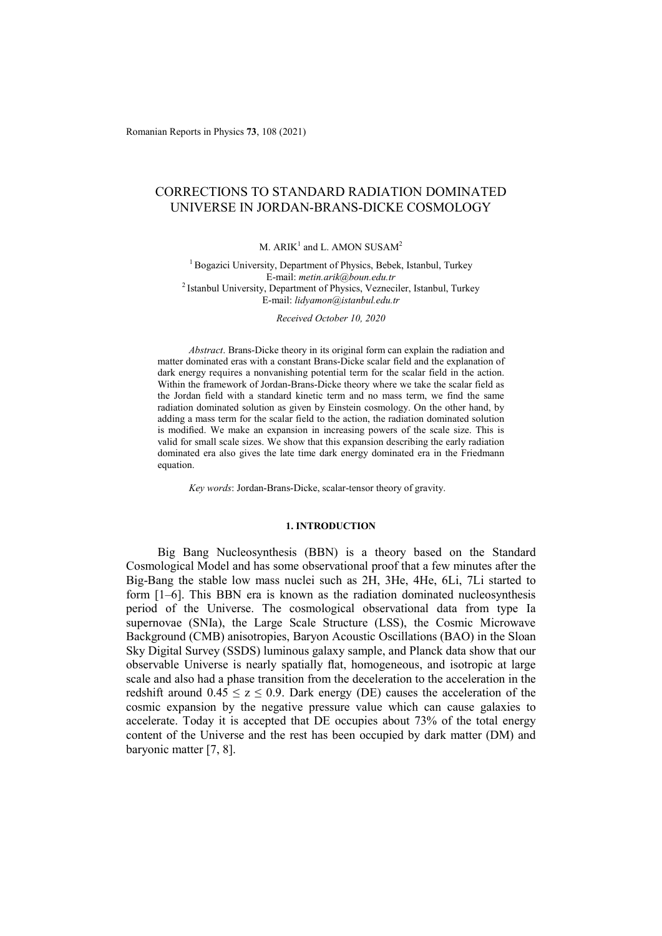Romanian Reports in Physics **73**, 108 (2021)

# CORRECTIONS TO STANDARD RADIATION DOMINATED UNIVERSE IN JORDAN-BRANS-DICKE COSMOLOGY

M.  $ARIK<sup>1</sup>$  and L. AMON SUSAM<sup>2</sup>

<sup>1</sup> Bogazici University, Department of Physics, Bebek, Istanbul, Turkey E-mail: *metin.arik@boun.edu.tr* 2 Istanbul University, Department of Physics, Vezneciler, Istanbul, Turkey E-mail: *lidyamon@istanbul.edu.tr*

*Received October 10, 2020* 

*Abstract*. Brans-Dicke theory in its original form can explain the radiation and matter dominated eras with a constant Brans-Dicke scalar field and the explanation of dark energy requires a nonvanishing potential term for the scalar field in the action. Within the framework of Jordan-Brans-Dicke theory where we take the scalar field as the Jordan field with a standard kinetic term and no mass term, we find the same radiation dominated solution as given by Einstein cosmology. On the other hand, by adding a mass term for the scalar field to the action, the radiation dominated solution is modified. We make an expansion in increasing powers of the scale size. This is valid for small scale sizes. We show that this expansion describing the early radiation dominated era also gives the late time dark energy dominated era in the Friedmann equation.

*Key words*: Jordan-Brans-Dicke, scalar-tensor theory of gravity.

## **1. INTRODUCTION**

Big Bang Nucleosynthesis (BBN) is a theory based on the Standard Cosmological Model and has some observational proof that a few minutes after the Big-Bang the stable low mass nuclei such as 2H, 3He, 4He, 6Li, 7Li started to form [1–6]. This BBN era is known as the radiation dominated nucleosynthesis period of the Universe. The cosmological observational data from type Ia supernovae (SNIa), the Large Scale Structure (LSS), the Cosmic Microwave Background (CMB) anisotropies, Baryon Acoustic Oscillations (BAO) in the Sloan Sky Digital Survey (SSDS) luminous galaxy sample, and Planck data show that our observable Universe is nearly spatially flat, homogeneous, and isotropic at large scale and also had a phase transition from the deceleration to the acceleration in the redshift around  $0.45 \le z \le 0.9$ . Dark energy (DE) causes the acceleration of the cosmic expansion by the negative pressure value which can cause galaxies to accelerate. Today it is accepted that DE occupies about 73% of the total energy content of the Universe and the rest has been occupied by dark matter (DM) and baryonic matter [7, 8].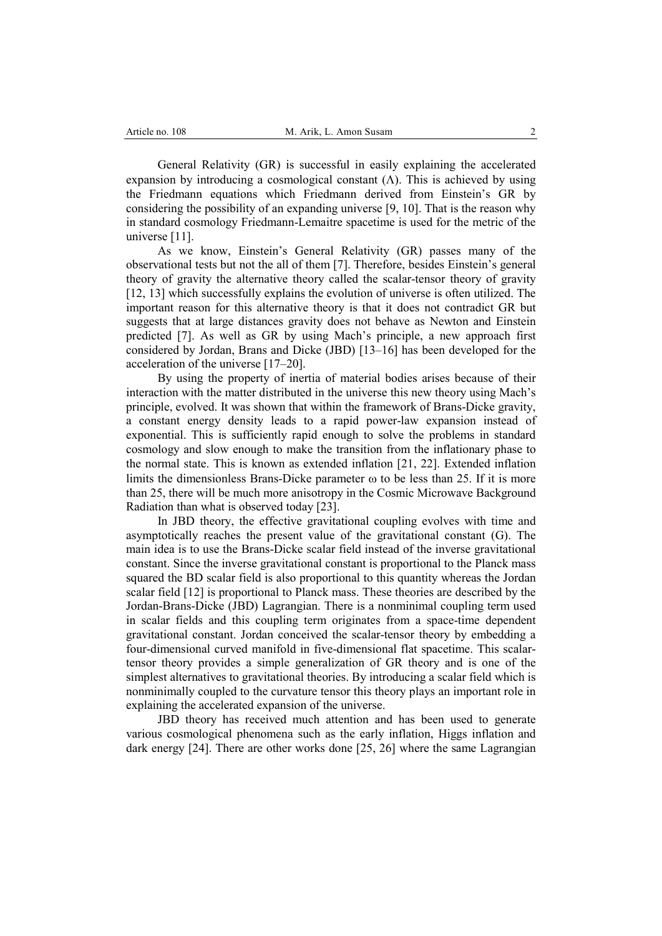General Relativity (GR) is successful in easily explaining the accelerated expansion by introducing a cosmological constant  $(\Lambda)$ . This is achieved by using the Friedmann equations which Friedmann derived from Einstein's GR by considering the possibility of an expanding universe [9, 10]. That is the reason why in standard cosmology Friedmann-Lemaitre spacetime is used for the metric of the universe [11].

As we know, Einstein's General Relativity (GR) passes many of the observational tests but not the all of them [7]. Therefore, besides Einstein's general theory of gravity the alternative theory called the scalar-tensor theory of gravity [12, 13] which successfully explains the evolution of universe is often utilized. The important reason for this alternative theory is that it does not contradict GR but suggests that at large distances gravity does not behave as Newton and Einstein predicted [7]. As well as GR by using Mach's principle, a new approach first considered by Jordan, Brans and Dicke (JBD) [13–16] has been developed for the acceleration of the universe [17–20].

By using the property of inertia of material bodies arises because of their interaction with the matter distributed in the universe this new theory using Mach's principle, evolved. It was shown that within the framework of Brans-Dicke gravity, a constant energy density leads to a rapid power-law expansion instead of exponential. This is sufficiently rapid enough to solve the problems in standard cosmology and slow enough to make the transition from the inflationary phase to the normal state. This is known as extended inflation [21, 22]. Extended inflation limits the dimensionless Brans-Dicke parameter  $\omega$  to be less than 25. If it is more than 25, there will be much more anisotropy in the Cosmic Microwave Background Radiation than what is observed today [23].

In JBD theory, the effective gravitational coupling evolves with time and asymptotically reaches the present value of the gravitational constant (G). The main idea is to use the Brans-Dicke scalar field instead of the inverse gravitational constant. Since the inverse gravitational constant is proportional to the Planck mass squared the BD scalar field is also proportional to this quantity whereas the Jordan scalar field [12] is proportional to Planck mass. These theories are described by the Jordan-Brans-Dicke (JBD) Lagrangian. There is a nonminimal coupling term used in scalar fields and this coupling term originates from a space-time dependent gravitational constant. Jordan conceived the scalar-tensor theory by embedding a four-dimensional curved manifold in five-dimensional flat spacetime. This scalartensor theory provides a simple generalization of GR theory and is one of the simplest alternatives to gravitational theories. By introducing a scalar field which is nonminimally coupled to the curvature tensor this theory plays an important role in explaining the accelerated expansion of the universe.

JBD theory has received much attention and has been used to generate various cosmological phenomena such as the early inflation, Higgs inflation and dark energy [24]. There are other works done [25, 26] where the same Lagrangian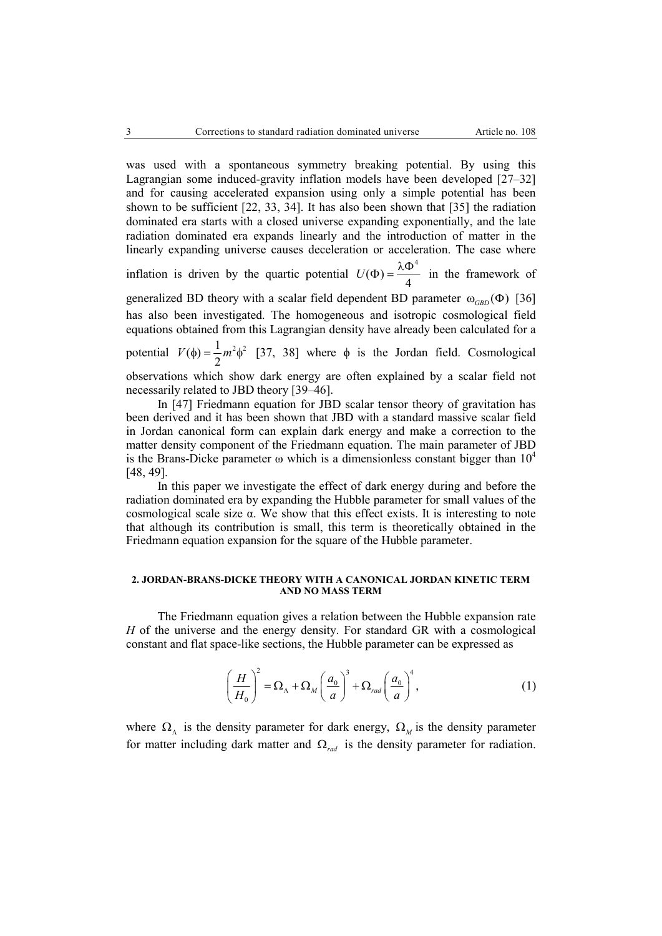was used with a spontaneous symmetry breaking potential. By using this Lagrangian some induced-gravity inflation models have been developed [27–32] and for causing accelerated expansion using only a simple potential has been shown to be sufficient [22, 33, 34]. It has also been shown that [35] the radiation dominated era starts with a closed universe expanding exponentially, and the late radiation dominated era expands linearly and the introduction of matter in the linearly expanding universe causes deceleration or acceleration. The case where inflation is driven by the quartic potential 4  $U(\Phi) = \frac{\lambda \Phi^4}{4}$  in the framework of generalized BD theory with a scalar field dependent BD parameter  $\omega_{GBD}(\Phi)$  [36] has also been investigated. The homogeneous and isotropic cosmological field equations obtained from this Lagrangian density have already been calculated for a potential  $V(\phi) = \frac{1}{2} m^2 \phi^2$  [37, 38] where  $\phi$  is the Jordan field. Cosmological observations which show dark energy are often explained by a scalar field not necessarily related to JBD theory [39–46].

In [47] Friedmann equation for JBD scalar tensor theory of gravitation has been derived and it has been shown that JBD with a standard massive scalar field in Jordan canonical form can explain dark energy and make a correction to the matter density component of the Friedmann equation. The main parameter of JBD is the Brans-Dicke parameter  $\omega$  which is a dimensionless constant bigger than  $10^4$ [48, 49].

In this paper we investigate the effect of dark energy during and before the radiation dominated era by expanding the Hubble parameter for small values of the cosmological scale size α. We show that this effect exists. It is interesting to note that although its contribution is small, this term is theoretically obtained in the Friedmann equation expansion for the square of the Hubble parameter.

## **2. JORDAN-BRANS-DICKE THEORY WITH A CANONICAL JORDAN KINETIC TERM AND NO MASS TERM**

The Friedmann equation gives a relation between the Hubble expansion rate *H* of the universe and the energy density. For standard GR with a cosmological constant and flat space-like sections, the Hubble parameter can be expressed as

$$
\left(\frac{H}{H_0}\right)^2 = \Omega_{\Lambda} + \Omega_M \left(\frac{a_0}{a}\right)^3 + \Omega_{rad} \left(\frac{a_0}{a}\right)^4, \tag{1}
$$

where  $\Omega_{\Lambda}$  is the density parameter for dark energy,  $\Omega_{\Lambda}$  is the density parameter for matter including dark matter and  $\Omega_{rad}$  is the density parameter for radiation.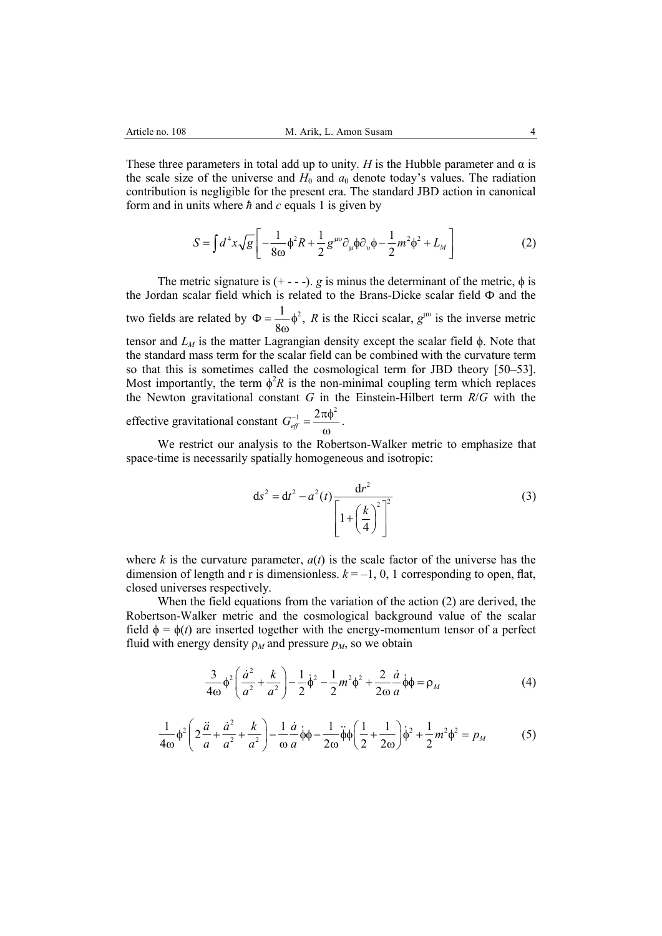These three parameters in total add up to unity. *H* is the Hubble parameter and  $\alpha$  is the scale size of the universe and  $H_0$  and  $a_0$  denote today's values. The radiation contribution is negligible for the present era. The standard JBD action in canonical form and in units where *ħ* and *c* equals 1 is given by

$$
S = \int d^4x \sqrt{g} \left[ -\frac{1}{8\omega} \phi^2 R + \frac{1}{2} g^{\mu\nu} \partial_\mu \phi \partial_\nu \phi - \frac{1}{2} m^2 \phi^2 + L_M \right]
$$
 (2)

The metric signature is  $(+ - -)$ . *g* is minus the determinant of the metric,  $\phi$  is the Jordan scalar field which is related to the Brans-Dicke scalar field Ф and the two fields are related by  $\Phi = \frac{1}{8\omega} \phi^2$ , *R* is the Ricci scalar,  $g^{\mu\nu}$  is the inverse metric tensor and  $L_M$  is the matter Lagrangian density except the scalar field  $\phi$ . Note that the standard mass term for the scalar field can be combined with the curvature term so that this is sometimes called the cosmological term for JBD theory [50–53]. Most importantly, the term  $\phi^2 R$  is the non-minimal coupling term which replaces the Newton gravitational constant *G* in the Einstein-Hilbert term *R*/*G* with the effective gravitational constant  $G_{\text{eff}}^{-1} = \frac{2\pi\phi^2}{\omega}.$ 

We restrict our analysis to the Robertson-Walker metric to emphasize that space-time is necessarily spatially homogeneous and isotropic:

$$
ds^{2} = dt^{2} - a^{2}(t) \frac{dr^{2}}{\left[1 + \left(\frac{k}{4}\right)^{2}\right]^{2}}
$$
 (3)

where  $k$  is the curvature parameter,  $a(t)$  is the scale factor of the universe has the dimension of length and r is dimensionless.  $k = -1, 0, 1$  corresponding to open, flat, closed universes respectively.

When the field equations from the variation of the action (2) are derived, the Robertson-Walker metric and the cosmological background value of the scalar field  $\phi = \phi(t)$  are inserted together with the energy-momentum tensor of a perfect fluid with energy density  $\rho_M$  and pressure  $p_M$ , so we obtain

$$
\frac{3}{4\omega}\phi^2\left(\frac{\dot{a}^2}{a^2} + \frac{k}{a^2}\right) - \frac{1}{2}\dot{\phi}^2 - \frac{1}{2}m^2\phi^2 + \frac{2}{2\omega}\frac{\dot{a}}{a}\dot{\phi}\phi = \rho_M\tag{4}
$$

$$
\frac{1}{4\omega}\phi^2 \left(2\frac{\ddot{a}}{a} + \frac{\dot{a}^2}{a^2} + \frac{k}{a^2}\right) - \frac{1}{\omega}\frac{\dot{a}}{a}\dot{\phi}\phi - \frac{1}{2\omega}\ddot{\phi}\phi \left(\frac{1}{2} + \frac{1}{2\omega}\right)\dot{\phi}^2 + \frac{1}{2}m^2\phi^2 = p_M
$$
(5)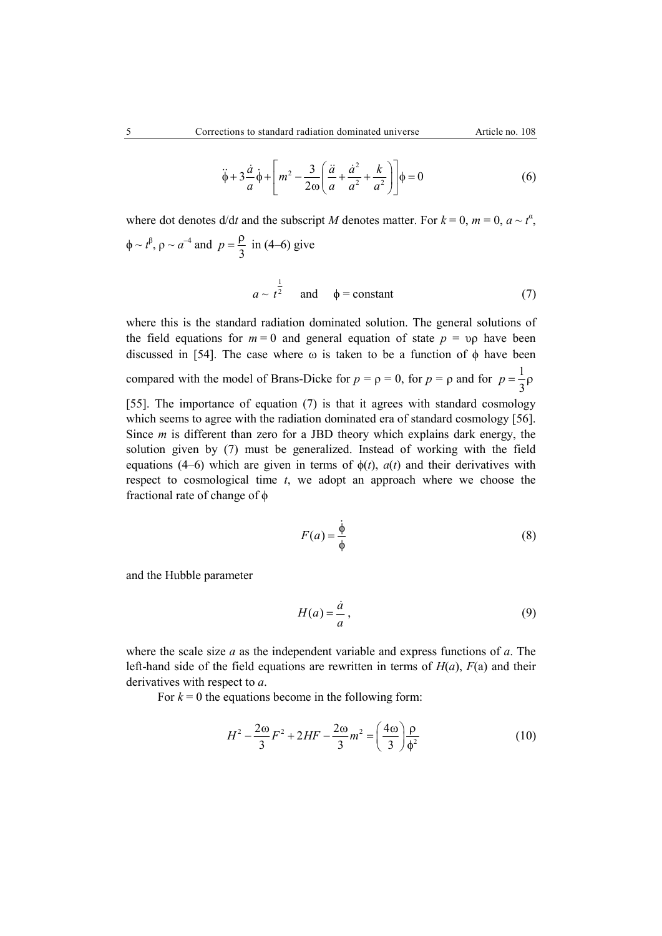$$
\ddot{\phi} + 3\frac{\dot{a}}{a}\dot{\phi} + \left[m^2 - \frac{3}{2\omega}\left(\frac{\ddot{a}}{a} + \frac{\dot{a}^2}{a^2} + \frac{k}{a^2}\right)\right]\phi = 0
$$
 (6)

where dot denotes  $d/dt$  and the subscript *M* denotes matter. For  $k = 0$ ,  $m = 0$ ,  $a \sim t^{\alpha}$ ,  $\phi \sim t^{\beta}$ ,  $\rho \sim a^{-4}$  and  $p = \frac{\rho}{3}$  in (4–6) give

$$
a \sim t^{\frac{1}{2}} \quad \text{and} \quad \phi = \text{constant} \tag{7}
$$

where this is the standard radiation dominated solution. The general solutions of the field equations for  $m = 0$  and general equation of state  $p = \nu \rho$  have been discussed in [54]. The case where  $\omega$  is taken to be a function of  $\phi$  have been compared with the model of Brans-Dicke for  $p = \rho = 0$ , for  $p = \rho$  and for  $p = \frac{1}{3}\rho$ [55]. The importance of equation (7) is that it agrees with standard cosmology which seems to agree with the radiation dominated era of standard cosmology [56]. Since *m* is different than zero for a JBD theory which explains dark energy, the solution given by (7) must be generalized. Instead of working with the field equations (4–6) which are given in terms of  $\phi(t)$ ,  $a(t)$  and their derivatives with respect to cosmological time *t*, we adopt an approach where we choose the fractional rate of change of  $\phi$ 

$$
F(a) = \frac{\dot{\phi}}{\phi} \tag{8}
$$

and the Hubble parameter

$$
H(a) = \frac{\dot{a}}{a},\tag{9}
$$

where the scale size *a* as the independent variable and express functions of *a*. The left-hand side of the field equations are rewritten in terms of  $H(a)$ ,  $F(a)$  and their derivatives with respect to *a*.

For  $k = 0$  the equations become in the following form:

$$
H^{2} - \frac{2\omega}{3}F^{2} + 2HF - \frac{2\omega}{3}m^{2} = \left(\frac{4\omega}{3}\right)\frac{\rho}{\phi^{2}}
$$
(10)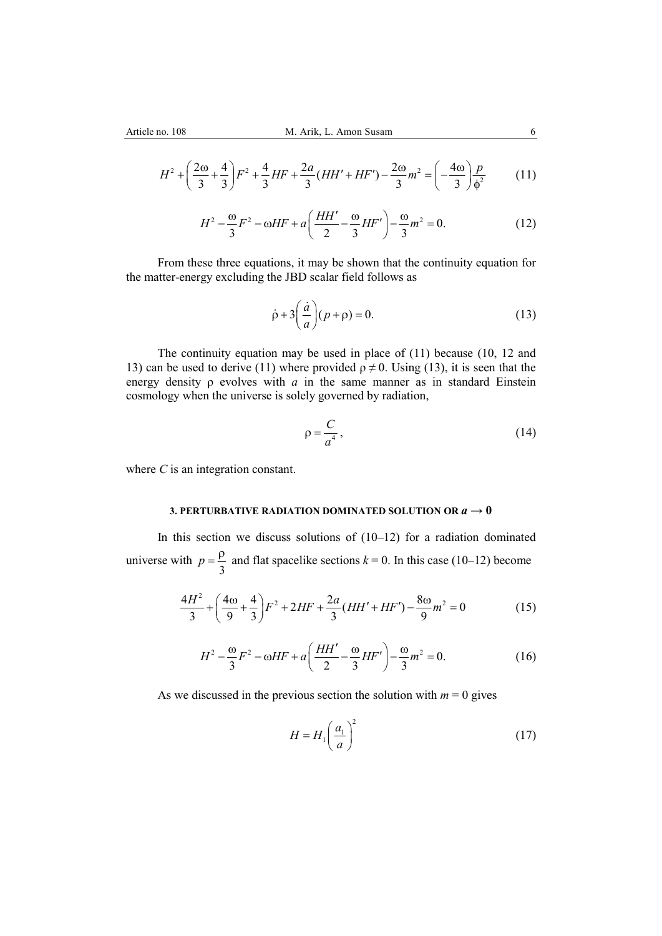$$
H^2 + \left(\frac{2\omega}{3} + \frac{4}{3}\right)F^2 + \frac{4}{3}HF + \frac{2a}{3}(HH' + HF') - \frac{2\omega}{3}m^2 = \left(-\frac{4\omega}{3}\right)\frac{p}{\phi^2}
$$
(11)

$$
H^{2} - \frac{\omega}{3}F^{2} - \omega HF + a\left(\frac{HH'}{2} - \frac{\omega}{3}HF'\right) - \frac{\omega}{3}m^{2} = 0.
$$
 (12)

From these three equations, it may be shown that the continuity equation for the matter-energy excluding the JBD scalar field follows as

$$
\dot{\rho} + 3\left(\frac{\dot{a}}{a}\right)(p + \rho) = 0.
$$
\n(13)

The continuity equation may be used in place of (11) because (10, 12 and 13) can be used to derive (11) where provided  $\rho \neq 0$ . Using (13), it is seen that the energy density  $\rho$  evolves with  $a$  in the same manner as in standard Einstein cosmology when the universe is solely governed by radiation,

$$
\rho = \frac{C}{a^4},\tag{14}
$$

where *C* is an integration constant.

## **3. PERTURBATIVE RADIATION DOMINATED SOLUTION OR** *a* **→ 0**

In this section we discuss solutions of  $(10-12)$  for a radiation dominated universe with  $p = \frac{\rho}{3}$  and flat spacelike sections  $k = 0$ . In this case (10–12) become

$$
\frac{4H^2}{3} + \left(\frac{4\omega}{9} + \frac{4}{3}\right)F^2 + 2HF + \frac{2a}{3}(HH' + HF') - \frac{8\omega}{9}m^2 = 0\tag{15}
$$

$$
H^{2} - \frac{\omega}{3}F^{2} - \omega HF + a\left(\frac{HH'}{2} - \frac{\omega}{3}HF'\right) - \frac{\omega}{3}m^{2} = 0.
$$
 (16)

As we discussed in the previous section the solution with  $m = 0$  gives

$$
H = H_1 \left(\frac{a_1}{a}\right)^2 \tag{17}
$$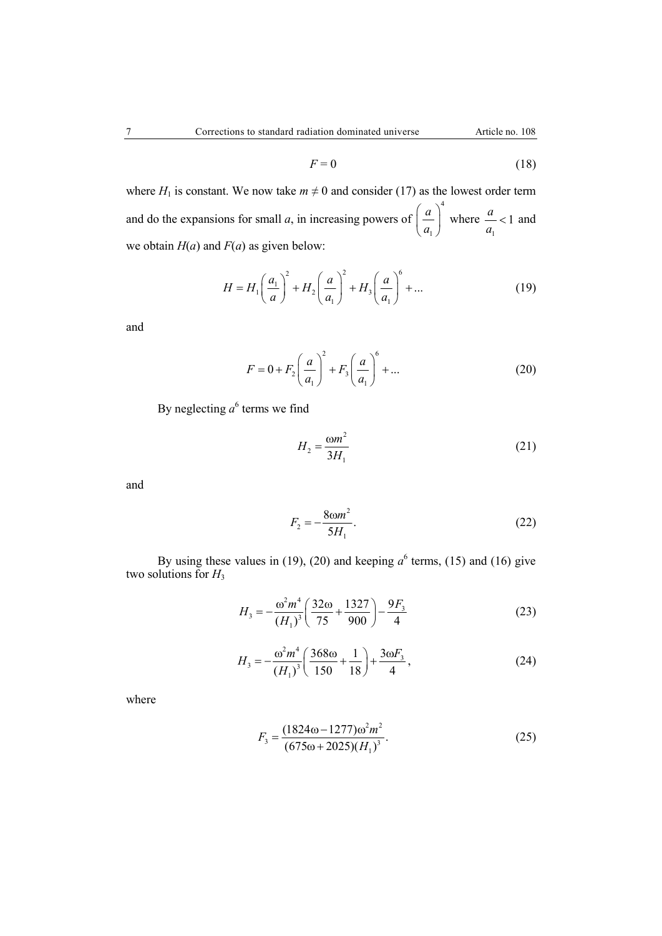$$
F = 0 \tag{18}
$$

where  $H_1$  is constant. We now take  $m \neq 0$  and consider (17) as the lowest order term and do the expansions for small *a*, in increasing powers of 4 1 *a*  $\left(\frac{a}{a_1}\right)^n$  where 1  $\frac{a}{-} < 1$ *a*  $< 1$  and we obtain  $H(a)$  and  $F(a)$  as given below:

$$
H = H_1 \left(\frac{a_1}{a}\right)^2 + H_2 \left(\frac{a}{a_1}\right)^2 + H_3 \left(\frac{a}{a_1}\right)^6 + \dots
$$
 (19)

and

$$
F = 0 + F_2 \left(\frac{a}{a_1}\right)^2 + F_3 \left(\frac{a}{a_1}\right)^6 + \dots
$$
 (20)

By neglecting  $a^6$  terms we find

$$
H_2 = \frac{\omega m^2}{3H_1} \tag{21}
$$

and

$$
F_2 = -\frac{8\omega m^2}{5H_1}.\tag{22}
$$

By using these values in (19), (20) and keeping  $a^6$  terms, (15) and (16) give two solutions for  $H_3$ 

$$
H_3 = -\frac{\omega^2 m^4}{\left(H_1\right)^3} \left(\frac{32\omega}{75} + \frac{1327}{900}\right) - \frac{9F_3}{4}
$$
 (23)

$$
H_3 = -\frac{\omega^2 m^4}{\left(H_1\right)^3} \left(\frac{368\omega}{150} + \frac{1}{18}\right) + \frac{3\omega F_3}{4},\tag{24}
$$

where

$$
F_3 = \frac{(1824\omega - 1277)\omega^2 m^2}{(675\omega + 2025)(H_1)^3}.
$$
 (25)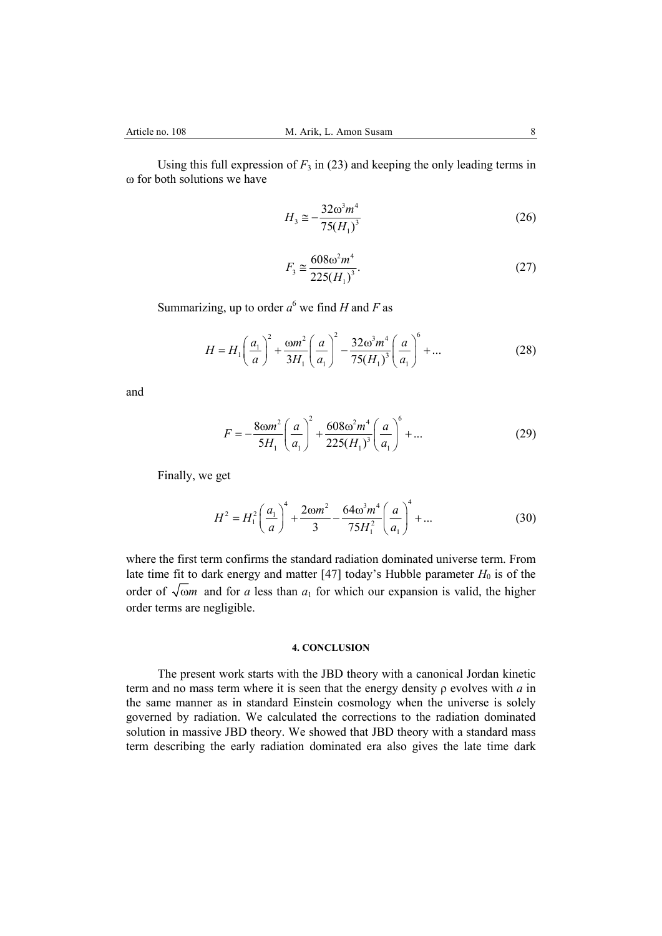Using this full expression of  $F_3$  in (23) and keeping the only leading terms in ω for both solutions we have

$$
H_3 \cong -\frac{32\omega^3 m^4}{75(H_1)^3} \tag{26}
$$

$$
F_3 \cong \frac{608\omega^2 m^4}{225(H_1)^3}.
$$
\n(27)

Summarizing, up to order  $a^6$  we find *H* and *F* as

$$
H = H_1 \left(\frac{a_1}{a}\right)^2 + \frac{\omega m^2}{3H_1} \left(\frac{a}{a_1}\right)^2 - \frac{32\omega^3 m^4}{75(H_1)^3} \left(\frac{a}{a_1}\right)^6 + \dots
$$
 (28)

and

$$
F = -\frac{8\omega m^2}{5H_1} \left(\frac{a}{a_1}\right)^2 + \frac{608\omega^2 m^4}{225(H_1)^3} \left(\frac{a}{a_1}\right)^6 + \dots
$$
 (29)

Finally, we get

$$
H^{2} = H_{1}^{2} \left(\frac{a_{1}}{a}\right)^{4} + \frac{2\omega m^{2}}{3} - \frac{64\omega^{3}m^{4}}{75H_{1}^{2}} \left(\frac{a}{a_{1}}\right)^{4} + \dots
$$
 (30)

where the first term confirms the standard radiation dominated universe term. From late time fit to dark energy and matter [47] today's Hubble parameter  $H_0$  is of the order of  $\sqrt{\omega}$  and for *a* less than  $a_1$  for which our expansion is valid, the higher order terms are negligible.

## **4. CONCLUSION**

The present work starts with the JBD theory with a canonical Jordan kinetic term and no mass term where it is seen that the energy density ρ evolves with *a* in the same manner as in standard Einstein cosmology when the universe is solely governed by radiation. We calculated the corrections to the radiation dominated solution in massive JBD theory. We showed that JBD theory with a standard mass term describing the early radiation dominated era also gives the late time dark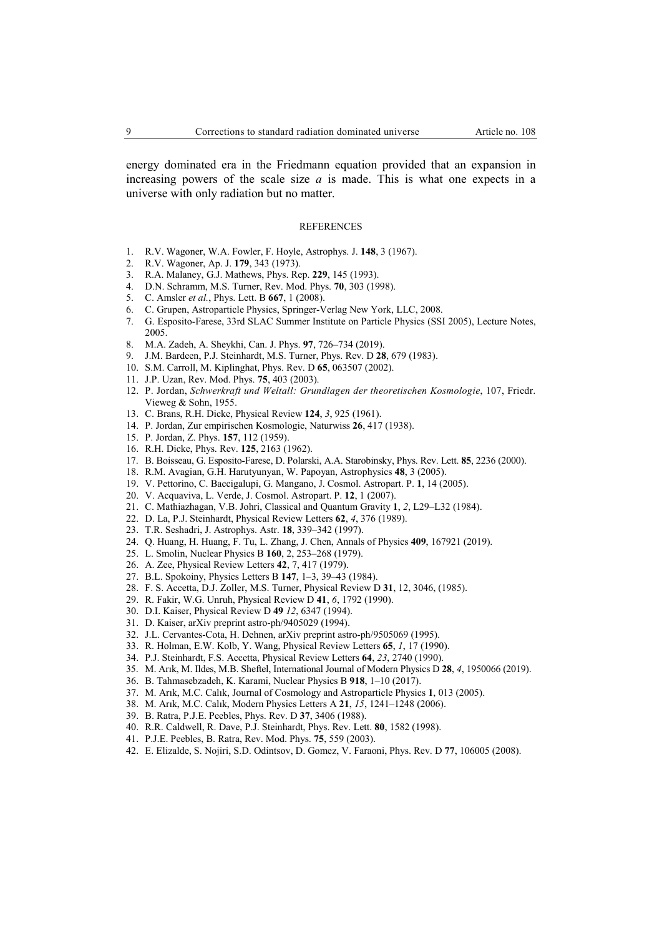energy dominated era in the Friedmann equation provided that an expansion in increasing powers of the scale size *a* is made. This is what one expects in a universe with only radiation but no matter.

#### REFERENCES

- 1. R.V. Wagoner, W.A. Fowler, F. Hoyle, Astrophys. J. **148**, 3 (1967).
- 2. R.V. Wagoner, Ap. J. **179**, 343 (1973).
- 3. R.A. Malaney, G.J. Mathews, Phys. Rep. **229**, 145 (1993).
- 4. D.N. Schramm, M.S. Turner, Rev. Mod. Phys. **70**, 303 (1998).
- 5. C. Amsler *et al.*, Phys. Lett. B **667**, 1 (2008).
- 6. C. Grupen, Astroparticle Physics, Springer-Verlag New York, LLC, 2008.
- 7. G. Esposito-Farese, 33rd SLAC Summer Institute on Particle Physics (SSI 2005), Lecture Notes, 2005.
- 8. M.A. Zadeh, A. Sheykhi, Can. J. Phys. **97**, 726–734 (2019).
- 9. J.M. Bardeen, P.J. Steinhardt, M.S. Turner, Phys. Rev. D **28**, 679 (1983).
- 10. S.M. Carroll, M. Kiplinghat, Phys. Rev. D **65**, 063507 (2002).
- 11. J.P. Uzan, Rev. Mod. Phys. **75**, 403 (2003).
- 12. P. Jordan, *Schwerkraft und Weltall: Grundlagen der theoretischen Kosmologie*, 107, Friedr. Vieweg & Sohn, 1955.
- 13. C. Brans, R.H. Dicke, Physical Review **124**, *3*, 925 (1961).
- 14. P. Jordan, Zur empirischen Kosmologie, Naturwiss **26**, 417 (1938).
- 15. P. Jordan, Z. Phys. **157**, 112 (1959).
- 16. R.H. Dicke, Phys. Rev. **125**, 2163 (1962).
- 17. B. Boisseau, G. Esposito-Farese, D. Polarski, A.A. Starobinsky, Phys. Rev. Lett. **85**, 2236 (2000).
- 18. R.M. Avagian, G.H. Harutyunyan, W. Papoyan, Astrophysics **48**, 3 (2005).
- 19. V. Pettorino, C. Baccigalupi, G. Mangano, J. Cosmol. Astropart. P. **1**, 14 (2005).
- 20. V. Acquaviva, L. Verde, J. Cosmol. Astropart. P. **12**, 1 (2007).
- 21. C. Mathiazhagan, V.B. Johri, Classical and Quantum Gravity **1**, *2*, L29–L32 (1984).
- 22. D. La, P.J. Steinhardt, Physical Review Letters **62**, *4*, 376 (1989).
- 23. T.R. Seshadri, J. Astrophys. Astr. **18**, 339–342 (1997).
- 24. Q. Huang, H. Huang, F. Tu, L. Zhang, J. Chen, Annals of Physics **409**, 167921 (2019).
- 25. L. Smolin, Nuclear Physics B **160**, 2, 253–268 (1979).
- 26. A. Zee, Physical Review Letters **42**, 7, 417 (1979).
- 27. B.L. Spokoiny, Physics Letters B **147**, 1–3, 39–43 (1984).
- 28. F. S. Accetta, D.J. Zoller, M.S. Turner, Physical Review D **31**, 12, 3046, (1985).
- 29. R. Fakir, W.G. Unruh, Physical Review D **41**, *6*, 1792 (1990).
- 30. D.I. Kaiser, Physical Review D **49** *12*, 6347 (1994).
- 31. D. Kaiser, arXiv preprint astro-ph/9405029 (1994).
- 32. J.L. Cervantes-Cota, H. Dehnen, arXiv preprint astro-ph/9505069 (1995).
- 33. R. Holman, E.W. Kolb, Y. Wang, Physical Review Letters **65**, *1*, 17 (1990).
- 34. P.J. Steinhardt, F.S. Accetta, Physical Review Letters **64**, *23*, 2740 (1990).
- 35. M. Arık, M. Ildes, M.B. Sheftel, International Journal of Modern Physics D **28**, *4*, 1950066 (2019).
- 36. B. Tahmasebzadeh, K. Karami, Nuclear Physics B **918**, 1–10 (2017).
- 37. M. Arık, M.C. Calık, Journal of Cosmology and Astroparticle Physics **1**, 013 (2005).
- 38. M. Arık, M.C. Calık, Modern Physics Letters A **21**, *15*, 1241–1248 (2006).
- 39. B. Ratra, P.J.E. Peebles, Phys. Rev. D **37**, 3406 (1988).
- 40. R.R. Caldwell, R. Dave, P.J. Steinhardt, Phys. Rev. Lett. **80**, 1582 (1998).
- 41. P.J.E. Peebles, B. Ratra, Rev. Mod. Phys. **75**, 559 (2003).
- 42. E. Elizalde, S. Nojiri, S.D. Odintsov, D. Gomez, V. Faraoni, Phys. Rev. D **77**, 106005 (2008).